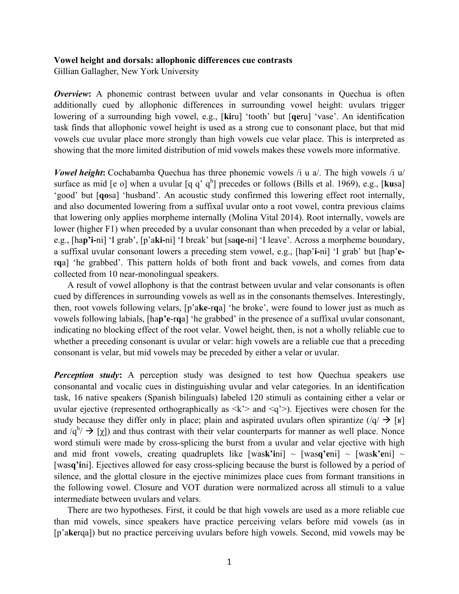## **Vowel height and dorsals: allophonic differences cue contrasts**

Gillian Gallagher, New York University

*Overview*: A phonemic contrast between uvular and velar consonants in Quechua is often additionally cued by allophonic differences in surrounding vowel height: uvulars trigger lowering of a surrounding high vowel, e.g., [**ki**ru] 'tooth' but [**qe**ru] 'vase'. An identification task finds that allophonic vowel height is used as a strong cue to consonant place, but that mid vowels cue uvular place more strongly than high vowels cue velar place. This is interpreted as showing that the more limited distribution of mid vowels makes these vowels more informative.

*Vowel height*: Cochabamba Quechua has three phonemic vowels /i u a/. The high vowels /i u/ surface as mid [e o] when a uvular  $[q q' q<sup>h</sup>]$  precedes or follows (Bills et al. 1969), e.g., [**ku**sa] 'good' but [**qo**sa] 'husband'. An acoustic study confirmed this lowering effect root internally, and also documented lowering from a suffixal uvular onto a root vowel, contra previous claims that lowering only applies morpheme internally (Molina Vital 2014). Root internally, vowels are lower (higher F1) when preceded by a uvular consonant than when preceded by a velar or labial, e.g., [ha**p'i-**ni] 'I grab', [p'a**ki-**ni] 'I break' but [sa**qe-**ni] 'I leave'. Across a morpheme boundary, a suffixal uvular consonant lowers a preceding stem vowel, e.g., [hap'**i-**ni] 'I grab' but [hap'**e**r**q**a] 'he grabbed'. This pattern holds of both front and back vowels, and comes from data collected from 10 near-monolingual speakers.

A result of vowel allophony is that the contrast between uvular and velar consonants is often cued by differences in surrounding vowels as well as in the consonants themselves. Interestingly, then, root vowels following velars, [p'a**ke**-r**q**a] 'he broke', were found to lower just as much as vowels following labials, [ha**p'e**-r**q**a] 'he grabbed' in the presence of a suffixal uvular consonant, indicating no blocking effect of the root velar. Vowel height, then, is not a wholly reliable cue to whether a preceding consonant is uvular or velar: high vowels are a reliable cue that a preceding consonant is velar, but mid vowels may be preceded by either a velar or uvular.

*Perception study*: A perception study was designed to test how Quechua speakers use consonantal and vocalic cues in distinguishing uvular and velar categories. In an identification task, 16 native speakers (Spanish bilinguals) labeled 120 stimuli as containing either a velar or uvular ejective (represented orthographically as  $\langle k' \rangle$  and  $\langle q' \rangle$ ). Ejectives were chosen for the study because they differ only in place; plain and aspirated uvulars often spirantize  $(|q| \rightarrow |w|)$ and  $/q^h$   $\rightarrow$  [ $\chi$ ]) and thus contrast with their velar counterparts for manner as well place. Nonce word stimuli were made by cross-splicing the burst from a uvular and velar ejective with high and mid front vowels, creating quadruplets like  $[wask'ini] \sim [wasq'eni] \sim [wask'eni] \sim$ [was**q'i**ni]. Ejectives allowed for easy cross-splicing because the burst is followed by a period of silence, and the glottal closure in the ejective minimizes place cues from formant transitions in the following vowel. Closure and VOT duration were normalized across all stimuli to a value intermediate between uvulars and velars.

There are two hypotheses. First, it could be that high vowels are used as a more reliable cue than mid vowels, since speakers have practice perceiving velars before mid vowels (as in [p'a**ke**rqa]) but no practice perceiving uvulars before high vowels. Second, mid vowels may be